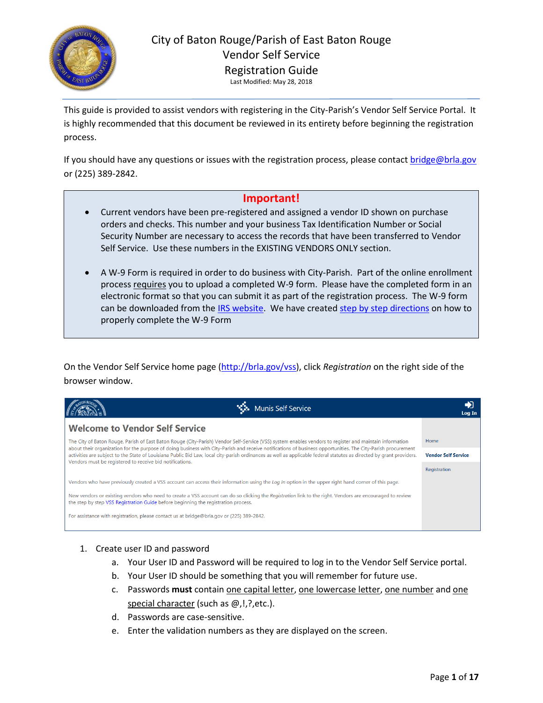

This guide is provided to assist vendors with registering in the City-Parish's Vendor Self Service Portal. It is highly recommended that this document be reviewed in its entirety before beginning the registration process.

If you should have any questions or issues with the registration process, please contact [bridge@brla.gov](mailto:bridge@brla.gov) or (225) 389-2842.

### **Important!**

- Current vendors have been pre-registered and assigned a vendor ID shown on purchase orders and checks. This number and your business Tax Identification Number or Social Security Number are necessary to access the records that have been transferred to Vendor Self Service. Use these numbers in the EXISTING VENDORS ONLY section.
- A W-9 Form is required in order to do business with City-Parish. Part of the online enrollment process requires you to upload a completed W-9 form. Please have the completed form in an electronic format so that you can submit it as part of the registration process. The W-9 form can be downloaded from th[e IRS website.](https://www.irs.gov/pub/irs-pdf/fw9.pdf) We have created [step by step directions](https://www.brla.gov/DocumentCenter/View/4900/VSS-W-9-Instructions) on how to properly complete the W-9 Form

On the Vendor Self Service home page [\(http://brla.gov/vss\)](http://brla.gov/vss), click *Registration* on the right side of the browser window.

|                                                                                           | Munis Self Service                                                                                                                                                                                                                                                                                                                   | Log In                     |
|-------------------------------------------------------------------------------------------|--------------------------------------------------------------------------------------------------------------------------------------------------------------------------------------------------------------------------------------------------------------------------------------------------------------------------------------|----------------------------|
| <b>Welcome to Vendor Self Service</b>                                                     |                                                                                                                                                                                                                                                                                                                                      |                            |
|                                                                                           | The City of Baton Rouge, Parish of East Baton Rouge (City-Parish) Vendor Self-Service (VSS) system enables vendors to register and maintain information                                                                                                                                                                              | Home                       |
|                                                                                           | about their organization for the purpose of doing business with City-Parish and receive notifications of business opportunities. The City-Parish procurement<br>activities are subject to the State of Louisiana Public Bid Law, local city-parish ordinances as well as applicable federal statutes as directed by grant providers. | <b>Vendor Self Service</b> |
| Vendors must be registered to receive bid notifications.                                  |                                                                                                                                                                                                                                                                                                                                      | Registration               |
|                                                                                           | Vendors who have previously created a VSS account can access their information using the Log In option in the upper right hand corner of this page.                                                                                                                                                                                  |                            |
| the step by step VSS Registration Guide before beginning the registration process.        | New vendors or existing vendors who need to create a VSS account can do so clicking the Registration link to the right. Vendors are encouraged to review                                                                                                                                                                             |                            |
| For assistance with registration, please contact us at bridge@brla.gov or (225) 389-2842. |                                                                                                                                                                                                                                                                                                                                      |                            |

#### 1. Create user ID and password

- a. Your User ID and Password will be required to log in to the Vendor Self Service portal.
- b. Your User ID should be something that you will remember for future use.
- c. Passwords **must** contain one capital letter, one lowercase letter, one number and one special character (such as @,!,?,etc.).
- d. Passwords are case-sensitive.
- e. Enter the validation numbers as they are displayed on the screen.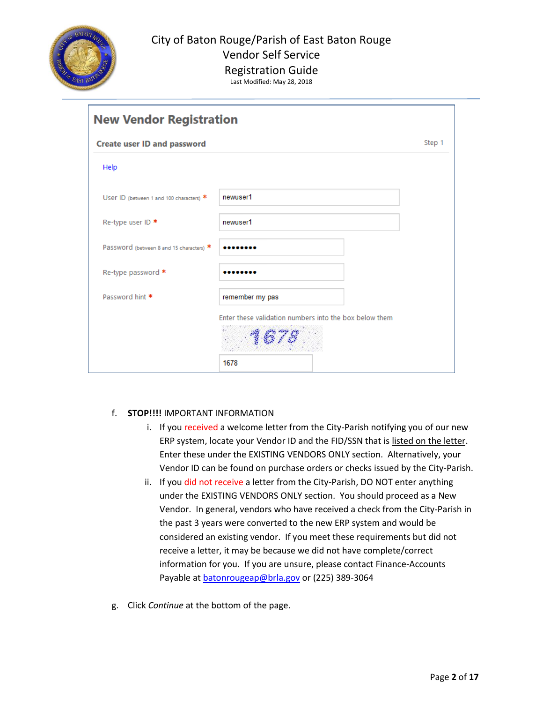

Registration Guide Last Modified: May 28, 2018

| <b>New Vendor Registration</b>           |                                                        |        |
|------------------------------------------|--------------------------------------------------------|--------|
| <b>Create user ID and password</b>       |                                                        | Step 1 |
| Help                                     |                                                        |        |
| USer ID (between 1 and 100 characters) * | newuser1                                               |        |
| Re-type user ID *                        | newuser1                                               |        |
| Password (between 8 and 15 characters) * |                                                        |        |
| Re-type password *                       |                                                        |        |
| Password hint *                          | remember my pas                                        |        |
|                                          | Enter these validation numbers into the box below them |        |
|                                          | 1678                                                   |        |

#### f. **STOP!!!!** IMPORTANT INFORMATION

- i. If you received a welcome letter from the City-Parish notifying you of our new ERP system, locate your Vendor ID and the FID/SSN that is listed on the letter. Enter these under the EXISTING VENDORS ONLY section. Alternatively, your Vendor ID can be found on purchase orders or checks issued by the City-Parish.
- ii. If you did not receive a letter from the City-Parish, DO NOT enter anything under the EXISTING VENDORS ONLY section. You should proceed as a New Vendor. In general, vendors who have received a check from the City-Parish in the past 3 years were converted to the new ERP system and would be considered an existing vendor. If you meet these requirements but did not receive a letter, it may be because we did not have complete/correct information for you. If you are unsure, please contact Finance-Accounts Payable at **batonrougeap@brla.gov** or (225) 389-3064
- g. Click *Continue* at the bottom of the page.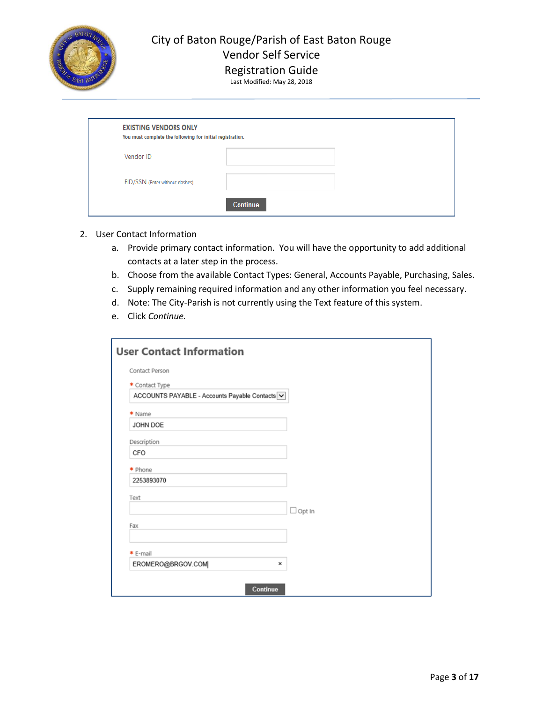

Registration Guide

Last Modified: May 28, 2018

| <b>EXISTING VENDORS ONLY</b><br>You must complete the following for initial registration. |                 |  |
|-------------------------------------------------------------------------------------------|-----------------|--|
| Vendor ID                                                                                 |                 |  |
| FID/SSN (Enter without dashes)                                                            |                 |  |
|                                                                                           | <b>Continue</b> |  |

#### 2. User Contact Information

- a. Provide primary contact information. You will have the opportunity to add additional contacts at a later step in the process.
- b. Choose from the available Contact Types: General, Accounts Payable, Purchasing, Sales.
- c. Supply remaining required information and any other information you feel necessary.
- d. Note: The City-Parish is not currently using the Text feature of this system.
- e. Click *Continue.*

| <b>User Contact Information</b>                |               |
|------------------------------------------------|---------------|
| Contact Person                                 |               |
| * Contact Type                                 |               |
| ACCOUNTS PAYABLE - Accounts Payable Contacts V |               |
| * Name                                         |               |
| JOHN DOE                                       |               |
| Description                                    |               |
| CFO                                            |               |
| * Phone                                        |               |
| 2253893070                                     |               |
| Text                                           |               |
|                                                | $\Box$ Opt In |
| Fax                                            |               |
|                                                |               |
| * E-mail                                       |               |
| EROMERO@BRGOV.COM<br>×                         |               |
| Continue                                       |               |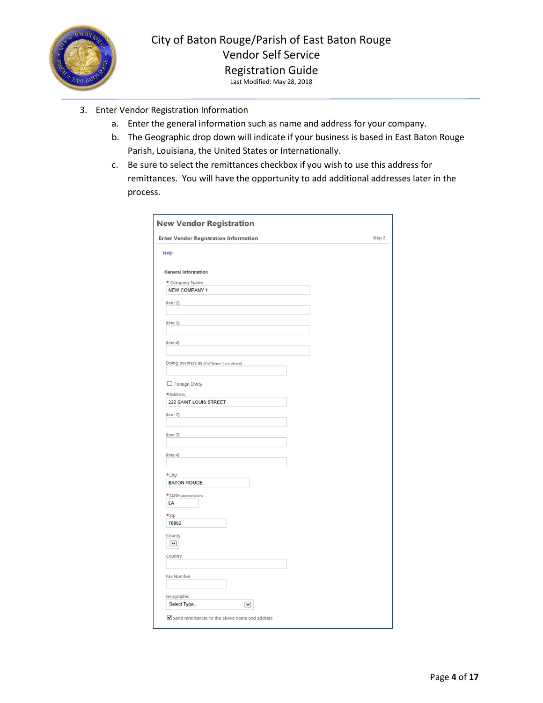

- 3. Enter Vendor Registration Information
	- a. Enter the general information such as name and address for your company.
	- b. The Geographic drop down will indicate if your business is based in East Baton Rouge Parish, Louisiana, the United States or Internationally.
	- c. Be sure to select the remittances checkbox if you wish to use this address for remittances. You will have the opportunity to add additional addresses later in the process.

| <b>Enter Vendor Registration Information</b> | Step 2 |
|----------------------------------------------|--------|
| Help                                         |        |
|                                              |        |
| <b>General information</b>                   |        |
| * Company Name                               |        |
| NEW COMPANY 1                                |        |
| (line 2)                                     |        |
|                                              |        |
| (line 3)                                     |        |
|                                              |        |
| (line 4)                                     |        |
|                                              |        |
| Doing business as (if different from above)  |        |
|                                              |        |
| $\Box$ Foreign Entity                        |        |
| *Address                                     |        |
| 222 SAINT LOUIS STREET                       |        |
| (line 2)                                     |        |
|                                              |        |
| (line 3)                                     |        |
|                                              |        |
| (line 4)                                     |        |
|                                              |        |
| *City                                        |        |
| <b>BATON ROUGE</b>                           |        |
| *State (abbreviation)                        |        |
| LA                                           |        |
| *Zip                                         |        |
| 70802                                        |        |
| County                                       |        |
| $\check{ }$                                  |        |
| Country                                      |        |
|                                              |        |
| Fax Number                                   |        |
|                                              |        |
| Geographic                                   |        |
| Select Type<br>$\checkmark$                  |        |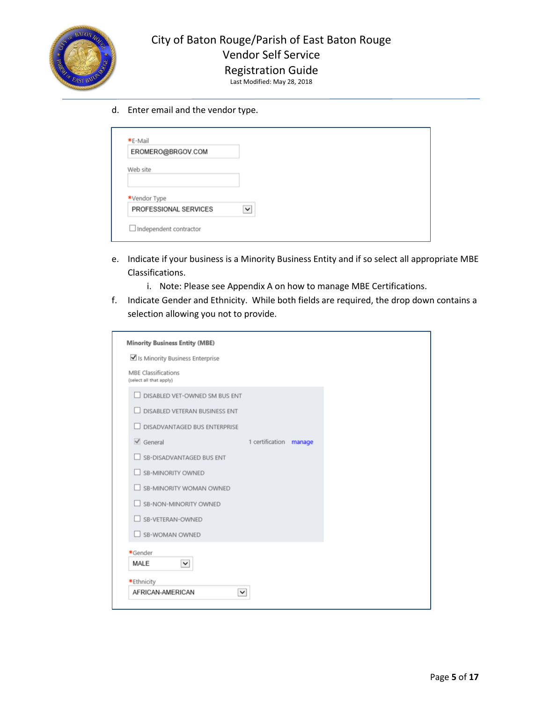

# Registration Guide

Last Modified: May 28, 2018

d. Enter email and the vendor type.

| EROMERO@BRGOV.COM     |              |  |  |
|-----------------------|--------------|--|--|
| Web site              |              |  |  |
| *Vendor Type          |              |  |  |
| PROFESSIONAL SERVICES | $\checkmark$ |  |  |

- e. Indicate if your business is a Minority Business Entity and if so select all appropriate MBE Classifications.
	- i. Note: Please see Appendix A on how to manage MBE Certifications.
- f. Indicate Gender and Ethnicity. While both fields are required, the drop down contains a selection allowing you not to provide.

| <b>Minority Business Entity (MBE)</b>                 |                        |  |
|-------------------------------------------------------|------------------------|--|
| Is Minority Business Enterprise                       |                        |  |
| <b>MBE Classifications</b><br>(select all that apply) |                        |  |
| DISABLED VET-OWNED SM BUS ENT                         |                        |  |
| DISABLED VETERAN BUSINESS ENT                         |                        |  |
| DISADVANTAGED BUS ENTERPRISE                          |                        |  |
| $\checkmark$ General                                  | 1 certification manage |  |
| SB-DISADVANTAGED BUS ENT                              |                        |  |
| SB-MINORITY OWNED                                     |                        |  |
| SB-MINORITY WOMAN OWNED                               |                        |  |
| SB-NON-MINORITY OWNED                                 |                        |  |
| SB-VETERAN-OWNED                                      |                        |  |
| SB-WOMAN OWNED                                        |                        |  |
| *Gender                                               |                        |  |
| MALE<br>$\check{~}$                                   |                        |  |
| *Ethnicity                                            |                        |  |
| AFRICAN-AMERICAN<br>$\check{~}$                       |                        |  |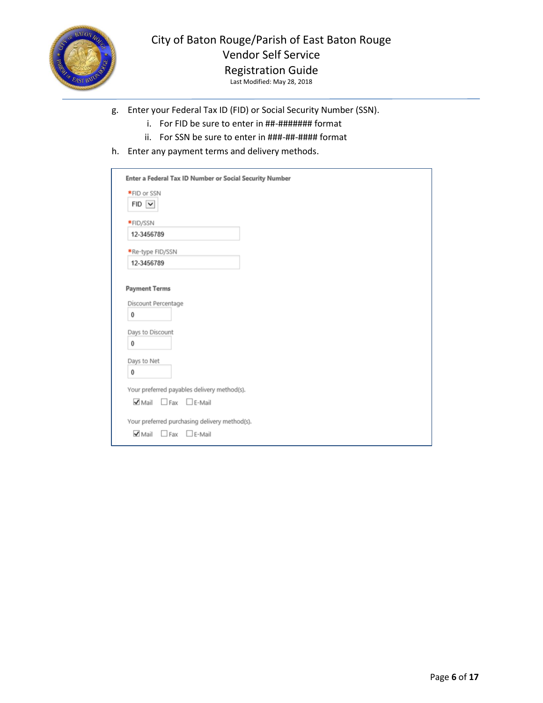

# Registration Guide

- g. Enter your Federal Tax ID (FID) or Social Security Number (SSN).
	- i. For FID be sure to enter in ##-####### format
	- ii. For SSN be sure to enter in ###-##-#### format
- h. Enter any payment terms and delivery methods.

| Enter a Federal Tax ID Number or Social Security Number                            |  |
|------------------------------------------------------------------------------------|--|
| *FID or SSN<br>$FID \nightharpoonup$                                               |  |
| *FID/SSN                                                                           |  |
| 12-3456789                                                                         |  |
| *Re-type FID/SSN                                                                   |  |
| 12-3456789                                                                         |  |
| <b>Payment Terms</b><br>Discount Percentage<br>0<br>Days to Discount<br>0          |  |
| Days to Net<br>0                                                                   |  |
| Your preferred payables delivery method(s).                                        |  |
| $\blacktriangleright$ Mail $\Box$ Fax $\Box$ E-Mail                                |  |
| Your preferred purchasing delivery method(s).<br>$\nabla$ Mail<br>$F$ -Mail<br>Fax |  |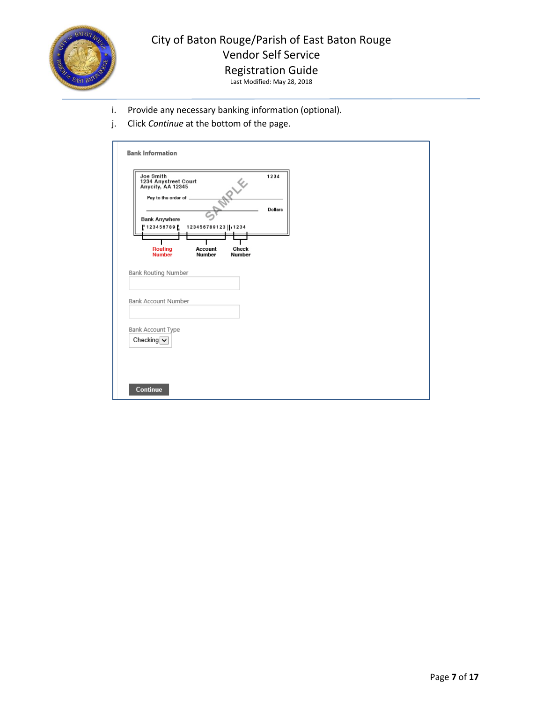

Registration Guide Last Modified: May 28, 2018

- i. Provide any necessary banking information (optional).
- j. Click *Continue* at the bottom of the page.

| Pay to the order of .<br>Dollars<br><b>Bank Anywhere</b><br>123456789123    1234<br>123456789<br>Routing<br><b>Account</b><br>Check<br><b>Number</b><br>Number<br>Number<br>Checking $\vert \mathbf{v} \vert$ |  |
|---------------------------------------------------------------------------------------------------------------------------------------------------------------------------------------------------------------|--|
|                                                                                                                                                                                                               |  |
| Bank Routing Number<br>Bank Account Number<br>Bank Account Type                                                                                                                                               |  |
|                                                                                                                                                                                                               |  |
|                                                                                                                                                                                                               |  |
|                                                                                                                                                                                                               |  |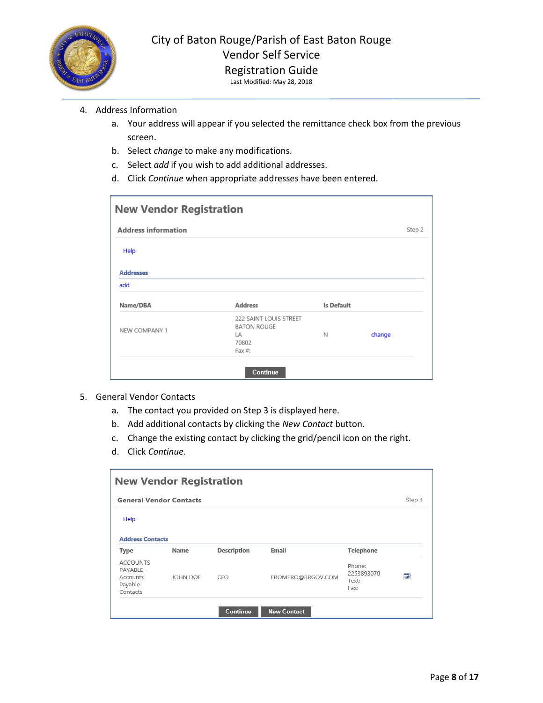

- 4. Address Information
	- a. Your address will appear if you selected the remittance check box from the previous screen.
	- b. Select *change* to make any modifications.
	- c. Select *add* if you wish to add additional addresses.
	- d. Click *Continue* when appropriate addresses have been entered.

| <b>New Vendor Registration</b> |                                                                       |            |        |        |
|--------------------------------|-----------------------------------------------------------------------|------------|--------|--------|
| <b>Address information</b>     |                                                                       |            |        | Step 2 |
| Help                           |                                                                       |            |        |        |
| <b>Addresses</b>               |                                                                       |            |        |        |
| add                            |                                                                       |            |        |        |
| Name/DBA                       | <b>Address</b>                                                        | Is Default |        |        |
| NEW COMPANY 1                  | 222 SAINT LOUIS STREET<br><b>BATON ROUGE</b><br>LА<br>70802<br>Fax #: | N          | change |        |
|                                | Continue                                                              |            |        |        |

- 5. General Vendor Contacts
	- a. The contact you provided on Step 3 is displayed here.
	- b. Add additional contacts by clicking the *New Contact* button.
	- c. Change the existing contact by clicking the grid/pencil icon on the right.
	- d. Click *Continue.*

|                                                                 | <b>New Vendor Registration</b> |             |                    |                                       |        |  |
|-----------------------------------------------------------------|--------------------------------|-------------|--------------------|---------------------------------------|--------|--|
| <b>General Vendor Contacts</b>                                  |                                |             |                    |                                       | Step 3 |  |
| Help                                                            |                                |             |                    |                                       |        |  |
| <b>Address Contacts</b>                                         |                                |             |                    |                                       |        |  |
| <b>Type</b>                                                     | Name                           | Description | Email              | <b>Telephone</b>                      |        |  |
| <b>ACCOUNTS</b><br>PAYABLE -<br>Accounts<br>Payable<br>Contacts | JOHN DOE                       | CFO.        | EROMERO@BRGOV.COM  | Phone:<br>2253893070<br>Text:<br>Fax: | ГŹ     |  |
|                                                                 |                                | Continue    | <b>New Contact</b> |                                       |        |  |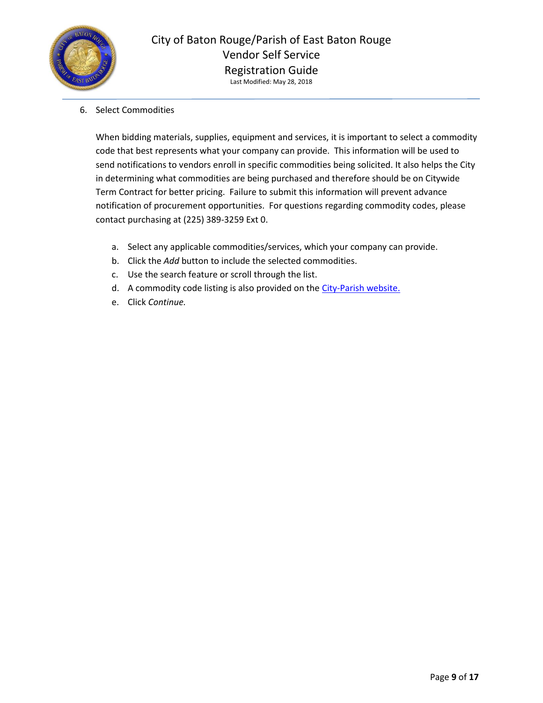

6. Select Commodities

When bidding materials, supplies, equipment and services, it is important to select a commodity code that best represents what your company can provide. This information will be used to send notifications to vendors enroll in specific commodities being solicited. It also helps the City in determining what commodities are being purchased and therefore should be on Citywide Term Contract for better pricing. Failure to submit this information will prevent advance notification of procurement opportunities. For questions regarding commodity codes, please contact purchasing at (225) 389-3259 Ext 0.

- a. Select any applicable commodities/services, which your company can provide.
- b. Click the *Add* button to include the selected commodities.
- c. Use the search feature or scroll through the list.
- d. A commodity code listing is also provided on the [City-Parish website.](http://city.brla.gov/dept/purchase/NIGPcode_Munis.asp)
- e. Click *Continue.*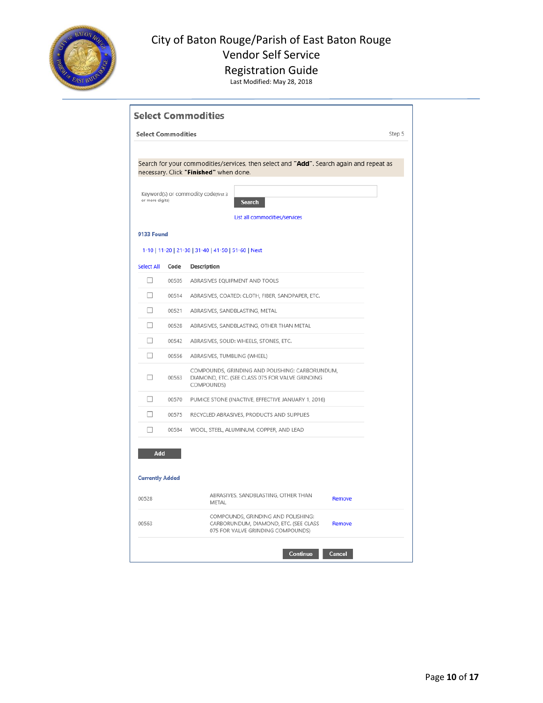

## Registration Guide

|                               | <b>Select Commodities</b> |                                                                                                                                   | Step 5 |
|-------------------------------|---------------------------|-----------------------------------------------------------------------------------------------------------------------------------|--------|
|                               |                           | Search for your commodities/services, then select and "Add". Search again and repeat as<br>necessary. Click "Finished" when done. |        |
| or more digits)               |                           | Keyword(s) or commodity code(first 3<br>Search<br>List all commodities/services                                                   |        |
| 9133 Found                    |                           |                                                                                                                                   |        |
|                               |                           | 1-10   11-20   21-30   31-40   41-50   51-60   Next                                                                               |        |
| <b>Select All</b>             | Code                      | <b>Description</b>                                                                                                                |        |
| П                             | 00505                     | ABRASIVES EQUIPMENT AND TOOLS                                                                                                     |        |
| П                             | 00514                     | ABRASIVES, COATED: CLOTH, FIBER, SANDPAPER, ETC.                                                                                  |        |
| П                             | 00521                     | ABRASIVES, SANDBLASTING, METAL                                                                                                    |        |
| □                             | 00528                     | ABRASIVES, SANDBLASTING, OTHER THAN METAL                                                                                         |        |
| □                             | 00542                     | ABRASIVES, SOLID: WHEELS, STONES, ETC.                                                                                            |        |
| $\Box$                        | 00556                     | ABRASIVES, TUMBLING (WHEEL)                                                                                                       |        |
| П                             | 00563                     | COMPOUNDS, GRINDING AND POLISHING: CARBORUNDUM,<br>DIAMOND, ETC. (SEE CLASS 075 FOR VALVE GRINDING<br>COMPOUNDS)                  |        |
| □                             | 00570                     | PUMICE STONE (INACTIVE, EFFECTIVE JANUARY 1, 2016)                                                                                |        |
| П                             | 00575                     | RECYCLED ABRASIVES, PRODUCTS AND SUPPLIES                                                                                         |        |
| □                             | 00584                     | WOOL, STEEL, ALUMINUM, COPPER, AND LEAD                                                                                           |        |
| Add<br><b>Currently Added</b> |                           |                                                                                                                                   |        |
| 00528                         |                           | ABRASIVES, SANDBLASTING, OTHER THAN<br>Remove<br>METAL                                                                            |        |
| 00563                         |                           | COMPOUNDS, GRINDING AND POLISHING:<br>CARBORUNDUM, DIAMOND, ETC. (SEE CLASS<br>Remove<br>075 FOR VALVE GRINDING COMPOUNDS)        |        |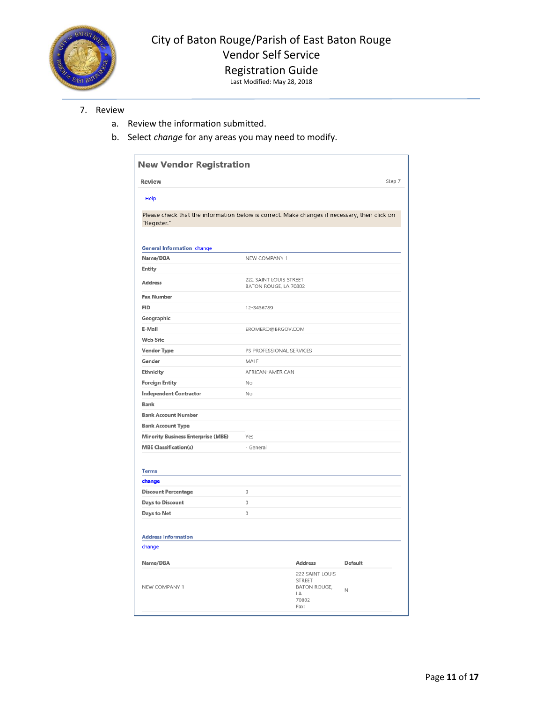

# Registration Guide

Last Modified: May 28, 2018

#### 7. Review

- a. Review the information submitted.
- b. Select *change* for any areas you may need to modify.

| Review                                                                                                      |                   |                                                               | Step 7  |  |  |
|-------------------------------------------------------------------------------------------------------------|-------------------|---------------------------------------------------------------|---------|--|--|
| Help                                                                                                        |                   |                                                               |         |  |  |
| Please check that the information below is correct. Make changes if necessary, then click on<br>"Register." |                   |                                                               |         |  |  |
| <b>General Information change</b>                                                                           |                   |                                                               |         |  |  |
| Name/DBA                                                                                                    | NEW COMPANY 1     |                                                               |         |  |  |
| <b>Entity</b>                                                                                               |                   |                                                               |         |  |  |
| <b>Address</b>                                                                                              |                   | 222 SAINT LOUIS STREET<br>BATON ROUGE, LA 70802               |         |  |  |
| <b>Fax Number</b>                                                                                           |                   |                                                               |         |  |  |
| <b>FID</b>                                                                                                  | 12-3456789        |                                                               |         |  |  |
| Geographic                                                                                                  |                   |                                                               |         |  |  |
| E-Mail                                                                                                      | EROMERO@BRGOV.COM |                                                               |         |  |  |
| <b>Web Site</b>                                                                                             |                   |                                                               |         |  |  |
| <b>Vendor Type</b>                                                                                          |                   | PS PROFESSIONAL SERVICES                                      |         |  |  |
| Gender                                                                                                      | MALE              |                                                               |         |  |  |
| Ethnicity                                                                                                   | AFRICAN-AMERICAN  |                                                               |         |  |  |
| <b>Foreign Entity</b>                                                                                       | No                |                                                               |         |  |  |
| <b>Independent Contractor</b>                                                                               | No                |                                                               |         |  |  |
| Bank                                                                                                        |                   |                                                               |         |  |  |
| <b>Bank Account Number</b>                                                                                  |                   |                                                               |         |  |  |
| <b>Bank Account Type</b>                                                                                    |                   |                                                               |         |  |  |
| <b>Minority Business Enterprise (MBE)</b>                                                                   | Yes               |                                                               |         |  |  |
| <b>MBE Classification(s)</b>                                                                                | - General         |                                                               |         |  |  |
| <b>Terms</b>                                                                                                |                   |                                                               |         |  |  |
| change                                                                                                      |                   |                                                               |         |  |  |
| <b>Discount Percentage</b>                                                                                  | 0                 |                                                               |         |  |  |
| Days to Discount                                                                                            | 0                 |                                                               |         |  |  |
| Days to Net                                                                                                 | 0                 |                                                               |         |  |  |
| <b>Address Information</b>                                                                                  |                   |                                                               |         |  |  |
| change                                                                                                      |                   |                                                               |         |  |  |
| Name/DBA                                                                                                    |                   | <b>Address</b>                                                | Default |  |  |
| NEW COMPANY 1                                                                                               |                   | 222 SAINT LOUIS<br><b>STREET</b><br><b>BATON ROUGE,</b><br>LA | N       |  |  |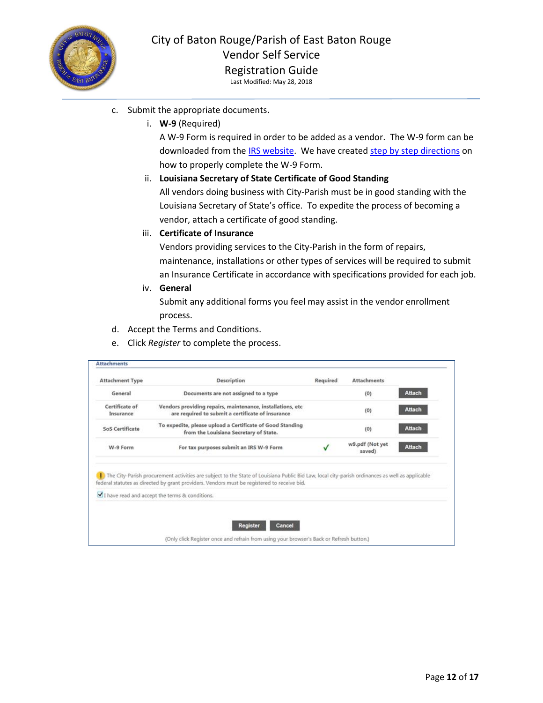

- c. Submit the appropriate documents.
	- i. **W-9** (Required)

A W-9 Form is required in order to be added as a vendor. The W-9 form can be downloaded from the [IRS website.](https://www.irs.gov/pub/irs-pdf/fw9.pdf) We have create[d step by step directions](https://www.brla.gov/DocumentCenter/View/4900/VSS-W-9-Instructions) on how to properly complete the W-9 Form.

#### ii. **Louisiana Secretary of State Certificate of Good Standing**

All vendors doing business with City-Parish must be in good standing with the Louisiana Secretary of State's office. To expedite the process of becoming a vendor, attach a certificate of good standing.

#### iii. **Certificate of Insurance**

Vendors providing services to the City-Parish in the form of repairs, maintenance, installations or other types of services will be required to submit an Insurance Certificate in accordance with specifications provided for each job.

iv. **General**

Submit any additional forms you feel may assist in the vendor enrollment process.

- d. Accept the Terms and Conditions.
- e. Click *Register* to complete the process.

| <b>Attachment Type</b>      | Description                                                                                                                                     | Required | <b>Attachments</b>        |               |
|-----------------------------|-------------------------------------------------------------------------------------------------------------------------------------------------|----------|---------------------------|---------------|
| General                     | Documents are not assigned to a type                                                                                                            |          | (0)                       | <b>Attach</b> |
| Certificate of<br>Insurance | Vendors providing repairs, maintenance, installations, etc<br>are required to submit a certificate of insurance                                 |          | (0)                       | <b>Attach</b> |
| <b>SoS Certificate</b>      | To expedite, please upload a Certificate of Good Standing<br>from the Louisiana Secretary of State.                                             |          | (0)                       | <b>Attach</b> |
| W-9 Form                    | For tax purposes submit an IRS W-9 Form                                                                                                         |          | w9.pdf (Not yet<br>saved) | <b>Attach</b> |
|                             | The City-Parish procurement activities are subject to the State of Louisiana Public Bid Law, local city-parish ordinances as well as applicable |          |                           |               |
|                             | federal statutes as directed by grant providers. Vendors must be registered to receive bid.                                                     |          |                           |               |
|                             | I have read and accept the terms & conditions.                                                                                                  |          |                           |               |
|                             |                                                                                                                                                 |          |                           |               |
|                             | <b>Register</b><br>Cancel                                                                                                                       |          |                           |               |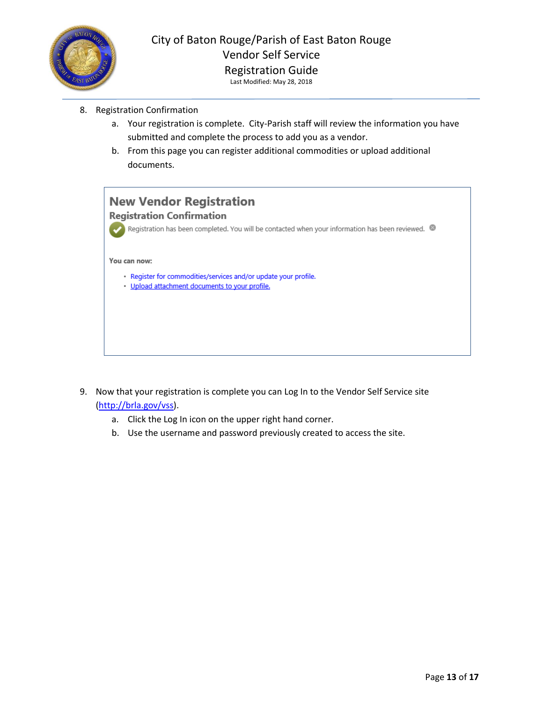

- 8. Registration Confirmation
	- a. Your registration is complete. City-Parish staff will review the information you have submitted and complete the process to add you as a vendor.
	- b. From this page you can register additional commodities or upload additional documents.



- 9. Now that your registration is complete you can Log In to the Vendor Self Service site [\(http://brla.gov/vss\)](http://brla.gov/vss).
	- a. Click the Log In icon on the upper right hand corner.
	- b. Use the username and password previously created to access the site.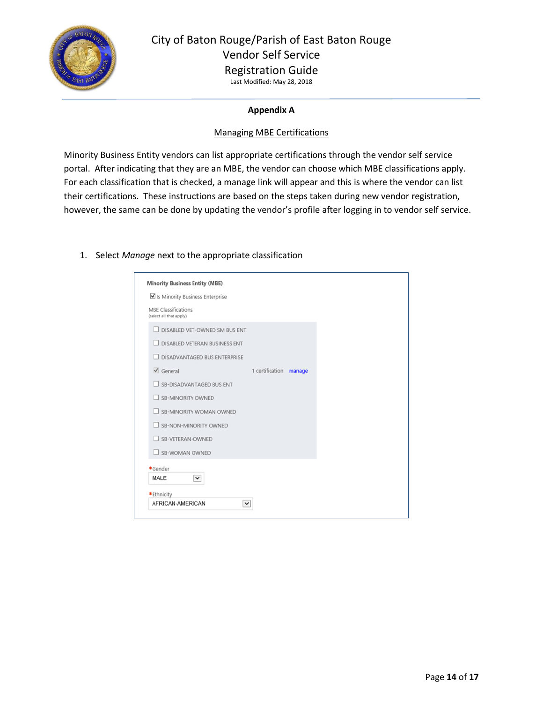

## City of Baton Rouge/Parish of East Baton Rouge Vendor Self Service Registration Guide

Last Modified: May 28, 2018

### **Appendix A**

#### Managing MBE Certifications

Minority Business Entity vendors can list appropriate certifications through the vendor self service portal. After indicating that they are an MBE, the vendor can choose which MBE classifications apply. For each classification that is checked, a manage link will appear and this is where the vendor can list their certifications. These instructions are based on the steps taken during new vendor registration, however, the same can be done by updating the vendor's profile after logging in to vendor self service.

#### 1. Select *Manage* next to the appropriate classification

| <b>Minority Business Entity (MBE)</b>                 |                 |        |  |  |
|-------------------------------------------------------|-----------------|--------|--|--|
| Is Minority Business Enterprise                       |                 |        |  |  |
| <b>MBE Classifications</b><br>(select all that apply) |                 |        |  |  |
| DISABLED VET-OWNED SM BUS ENT                         |                 |        |  |  |
| DISABLED VETERAN BUSINESS ENT                         |                 |        |  |  |
| DISADVANTAGED BUS ENTERPRISE                          |                 |        |  |  |
| $\checkmark$ General                                  | 1 certification | manage |  |  |
| SB-DISADVANTAGED BUS ENT                              |                 |        |  |  |
| <b>SB-MINORITY OWNED</b>                              |                 |        |  |  |
| SB-MINORITY WOMAN OWNED                               |                 |        |  |  |
| SB-NON-MINORITY OWNED                                 |                 |        |  |  |
| SB-VETERAN-OWNED                                      |                 |        |  |  |
| <b>SB-WOMAN OWNED</b>                                 |                 |        |  |  |
| *Gender                                               |                 |        |  |  |
| MALE<br>$\checkmark$                                  |                 |        |  |  |
| *Ethnicity                                            |                 |        |  |  |
| AFRICAN-AMERICAN<br>$\checkmark$                      |                 |        |  |  |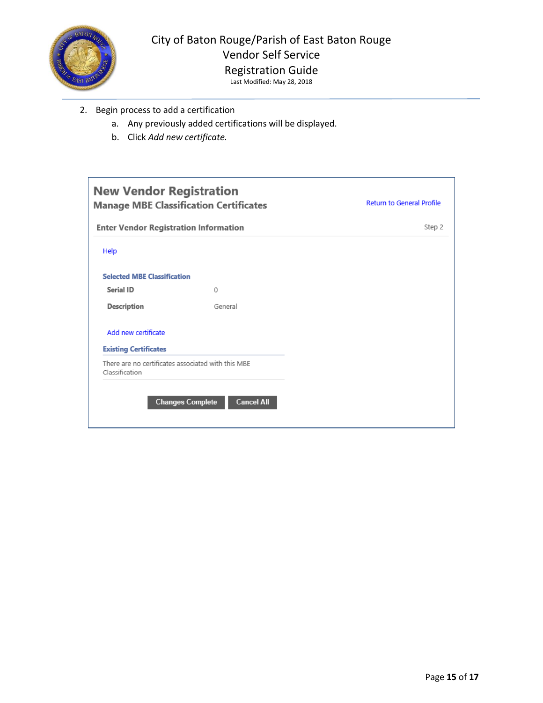

- 2. Begin process to add a certification
	- a. Any previously added certifications will be displayed.
	- b. Click *Add new certificate.*

| <b>New Vendor Registration</b>                                       | <b>Manage MBE Classification Certificates</b> | <b>Return to General Profile</b> |
|----------------------------------------------------------------------|-----------------------------------------------|----------------------------------|
| <b>Enter Vendor Registration Information</b>                         |                                               | Step 2                           |
| Help                                                                 |                                               |                                  |
| <b>Selected MBE Classification</b>                                   |                                               |                                  |
| Serial ID                                                            | 0                                             |                                  |
| Description                                                          | General                                       |                                  |
| Add new certificate<br><b>Existing Certificates</b>                  |                                               |                                  |
| There are no certificates associated with this MBE<br>Classification |                                               |                                  |
|                                                                      | <b>Changes Complete</b><br><b>Cancel All</b>  |                                  |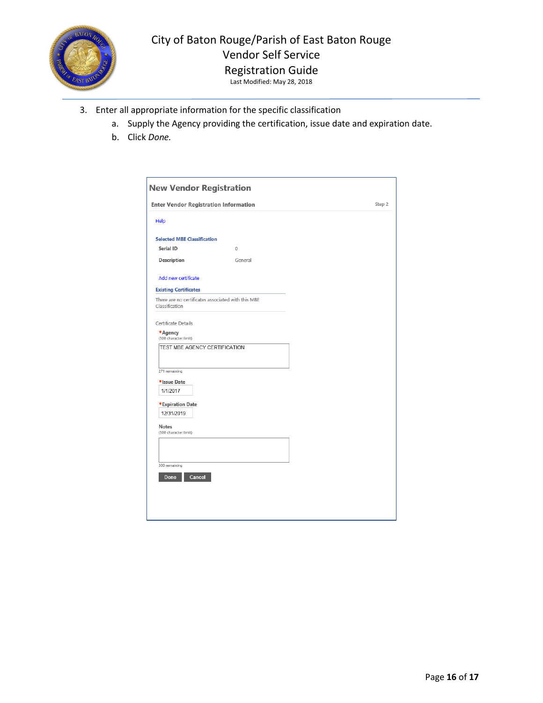

## City of Baton Rouge/Parish of East Baton Rouge Vendor Self Service Registration Guide

- 3. Enter all appropriate information for the specific classification
	- a. Supply the Agency providing the certification, issue date and expiration date.
	- b. Click *Done.*

|                                                                      | <b>Enter Vendor Registration Information</b> | Step 2 |
|----------------------------------------------------------------------|----------------------------------------------|--------|
| Help                                                                 |                                              |        |
| <b>Selected MBE Classification</b>                                   |                                              |        |
| Serial ID                                                            | 0                                            |        |
| Description                                                          | General                                      |        |
| Add new certificate                                                  |                                              |        |
| <b>Existing Certificates</b>                                         |                                              |        |
| There are no certificates associated with this MBE<br>Classification |                                              |        |
| Certificate Details                                                  |                                              |        |
|                                                                      |                                              |        |
| *Agency<br>(300 character limit)                                     |                                              |        |
| TEST MBE AGENCY CERTIFICATION                                        |                                              |        |
|                                                                      |                                              |        |
| 271 remaining                                                        |                                              |        |
|                                                                      |                                              |        |
| *Issue Date<br>1/1/2017                                              |                                              |        |
|                                                                      |                                              |        |
| *Expiration Date                                                     |                                              |        |
| 12/31/2019                                                           |                                              |        |
|                                                                      |                                              |        |
| Notes                                                                |                                              |        |
| (300 character limit)                                                |                                              |        |
|                                                                      |                                              |        |
|                                                                      |                                              |        |
| 300 remaining                                                        |                                              |        |
|                                                                      |                                              |        |
| Cancel<br>Done                                                       |                                              |        |